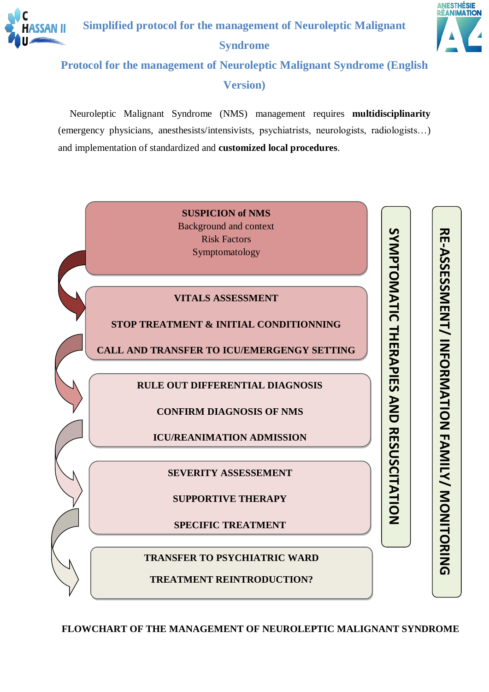



# **Protocol for the management of Neuroleptic Malignant Syndrome (English Version)**

Neuroleptic Malignant Syndrome (NMS) management requires **multidisciplinarity** (emergency physicians, anesthesists/intensivists, psychiatrists, neurologists, radiologists…) and implementation of standardized and **customized local procedures**.



**FLOWCHART OF THE MANAGEMENT OF NEUROLEPTIC MALIGNANT SYNDROME**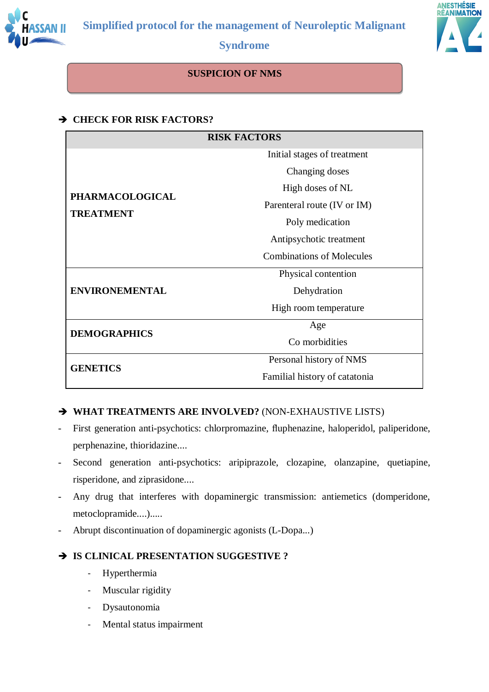



#### **SUSPICION OF NMS**

#### **CHECK FOR RISK FACTORS?**

| <b>RISK FACTORS</b>   |                                  |  |  |  |
|-----------------------|----------------------------------|--|--|--|
|                       | Initial stages of treatment      |  |  |  |
|                       | Changing doses                   |  |  |  |
| PHARMACOLOGICAL       | High doses of NL                 |  |  |  |
|                       | Parenteral route (IV or IM)      |  |  |  |
| <b>TREATMENT</b>      | Poly medication                  |  |  |  |
|                       | Antipsychotic treatment          |  |  |  |
|                       | <b>Combinations of Molecules</b> |  |  |  |
|                       | Physical contention              |  |  |  |
| <b>ENVIRONEMENTAL</b> | Dehydration                      |  |  |  |
|                       | High room temperature            |  |  |  |
| <b>DEMOGRAPHICS</b>   | Age                              |  |  |  |
|                       | Co morbidities                   |  |  |  |
| <b>GENETICS</b>       | Personal history of NMS          |  |  |  |
|                       | Familial history of catatonia    |  |  |  |

#### **WHAT TREATMENTS ARE INVOLVED?** (NON-EXHAUSTIVE LISTS)

- First generation anti-psychotics: chlorpromazine, fluphenazine, haloperidol, paliperidone, perphenazine, thioridazine....
- Second generation anti-psychotics: aripiprazole, clozapine, olanzapine, quetiapine, risperidone, and ziprasidone....
- Any drug that interferes with dopaminergic transmission: antiemetics (domperidone, metoclopramide....).....
- Abrupt discontinuation of dopaminergic agonists (L-Dopa...)

#### **IS CLINICAL PRESENTATION SUGGESTIVE ?**

- Hyperthermia
- Muscular rigidity
- Dysautonomia
- Mental status impairment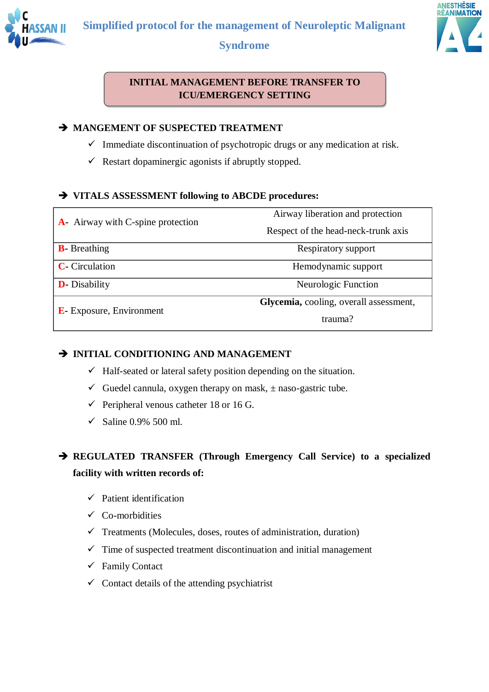





#### **INITIAL MANAGEMENT BEFORE TRANSFER TO ICU/EMERGENCY SETTING**

#### $\rightarrow$  **MANGEMENT OF SUSPECTED TREATMENT**

- $\checkmark$  Immediate discontinuation of psychotropic drugs or any medication at risk.
- $\checkmark$  Restart dopaminergic agonists if abruptly stopped.

#### **VITALS ASSESSMENT following to ABCDE procedures:**

|                                           | Airway liberation and protection       |  |  |
|-------------------------------------------|----------------------------------------|--|--|
| <b>A</b> - Airway with C-spine protection | Respect of the head-neck-trunk axis    |  |  |
| <b>B</b> Breathing                        | Respiratory support                    |  |  |
| <b>C</b> - Circulation                    | Hemodynamic support                    |  |  |
| <b>D</b> - Disability                     | Neurologic Function                    |  |  |
|                                           | Glycemia, cooling, overall assessment, |  |  |
| <b>E</b> - Exposure, Environment          | trauma?                                |  |  |

#### **INITIAL CONDITIONING AND MANAGEMENT**

- $\checkmark$  Half-seated or lateral safety position depending on the situation.
- Guedel cannula, oxygen therapy on mask,  $\pm$  naso-gastric tube.
- $\checkmark$  Peripheral venous catheter 18 or 16 G.
- $\checkmark$  Saline 0.9% 500 ml.

## **REGULATED TRANSFER (Through Emergency Call Service) to a specialized facility with written records of:**

- $\checkmark$  Patient identification
- $\checkmark$  Co-morbidities
- $\checkmark$  Treatments (Molecules, doses, routes of administration, duration)
- $\checkmark$  Time of suspected treatment discontinuation and initial management
- $\checkmark$  Family Contact
- $\checkmark$  Contact details of the attending psychiatrist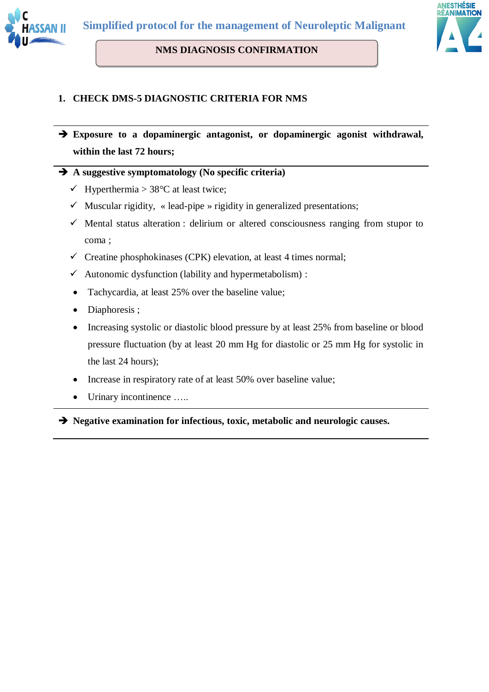

# **NMS DIAGNOSIS CONFIRMATION**



#### **1. CHECK DMS-5 DIAGNOSTIC CRITERIA FOR NMS**

 **Exposure to a dopaminergic antagonist, or dopaminergic agonist withdrawal, within the last 72 hours;** 

#### **A suggestive symptomatology (No specific criteria)**

- $\checkmark$  Hyperthermia > 38°C at least twice;
- $\checkmark$  Muscular rigidity, « lead-pipe » rigidity in generalized presentations;
- $\checkmark$  Mental status alteration : delirium or altered consciousness ranging from stupor to coma ;
- $\checkmark$  Creatine phosphokinases (CPK) elevation, at least 4 times normal;
- $\checkmark$  Autonomic dysfunction (lability and hypermetabolism) :
- Tachycardia, at least 25% over the baseline value;
- Diaphoresis ;
- Increasing systolic or diastolic blood pressure by at least 25% from baseline or blood pressure fluctuation (by at least 20 mm Hg for diastolic or 25 mm Hg for systolic in the last 24 hours);
- Increase in respiratory rate of at least 50% over baseline value;
- Urinary incontinence …..

**Negative examination for infectious, toxic, metabolic and neurologic causes.**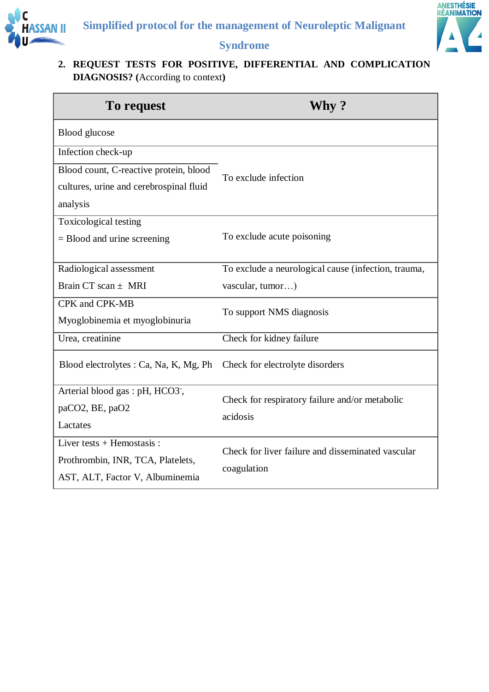



#### **2. REQUEST TESTS FOR POSITIVE, DIFFERENTIAL AND COMPLICATION DIAGNOSIS? (**According to context**)**

| To request                                                                                           | Why ?                                                            |
|------------------------------------------------------------------------------------------------------|------------------------------------------------------------------|
| <b>Blood</b> glucose                                                                                 |                                                                  |
| Infection check-up<br>Blood count, C-reactive protein, blood                                         |                                                                  |
| cultures, urine and cerebrospinal fluid<br>analysis                                                  | To exclude infection                                             |
| Toxicological testing<br>$=$ Blood and urine screening                                               | To exclude acute poisoning                                       |
| Radiological assessment                                                                              | To exclude a neurological cause (infection, trauma,              |
| Brain CT scan $\pm$ MRI                                                                              | vascular, tumor)                                                 |
| CPK and CPK-MB<br>Myoglobinemia et myoglobinuria                                                     | To support NMS diagnosis                                         |
| Urea, creatinine                                                                                     | Check for kidney failure                                         |
| Blood electrolytes : Ca, Na, K, Mg, Ph                                                               | Check for electrolyte disorders                                  |
| Arterial blood gas : pH, HCO3,<br>paCO2, BE, paO2<br>Lactates                                        | Check for respiratory failure and/or metabolic<br>acidosis       |
| Liver tests $+$ Hemostasis :<br>Prothrombin, INR, TCA, Platelets,<br>AST, ALT, Factor V, Albuminemia | Check for liver failure and disseminated vascular<br>coagulation |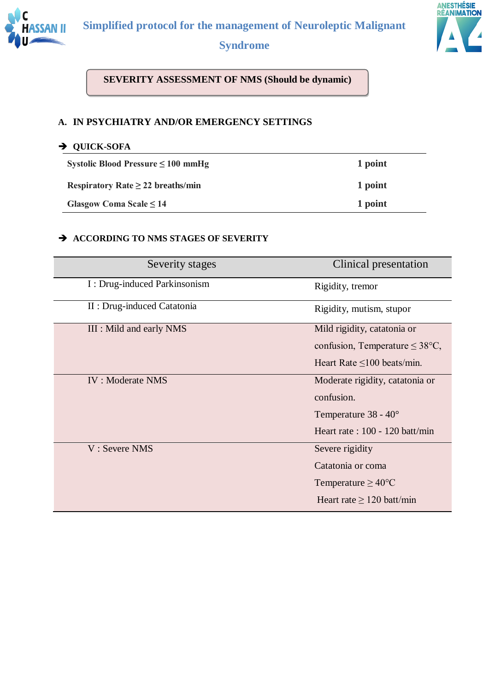

# ANESTHÉSIE<br>RÉANIMATION

## **Syndrome**

**SEVERITY ASSESSMENT OF NMS (Should be dynamic)**

#### **A. IN PSYCHIATRY AND/OR EMERGENCY SETTINGS**

#### **QUICK-SOFA**

| Systolic Blood Pressure $\leq 100$ mmHg | 1 point |
|-----------------------------------------|---------|
| Respiratory Rate $\geq$ 22 breaths/min  | 1 point |
| Glasgow Coma Scale $\leq 14$            | 1 point |

#### $\rightarrow$  **ACCORDING TO NMS STAGES OF SEVERITY**

| Severity stages              | Clinical presentation                       |
|------------------------------|---------------------------------------------|
| I: Drug-induced Parkinsonism | Rigidity, tremor                            |
| II : Drug-induced Catatonia  | Rigidity, mutism, stupor                    |
| III : Mild and early NMS     | Mild rigidity, catatonia or                 |
|                              | confusion, Temperature $\leq 38^{\circ}C$ , |
|                              | Heart Rate $\leq 100$ beats/min.            |
| <b>IV: Moderate NMS</b>      | Moderate rigidity, catatonia or             |
|                              | confusion.                                  |
|                              | Temperature $38 - 40^{\circ}$               |
|                              | Heart rate : $100 - 120$ batt/min           |
| V: Severe NMS                | Severe rigidity                             |
|                              | Catatonia or coma                           |
|                              | Temperature $\geq 40^{\circ}$ C             |
|                              | Heart rate $\geq 120$ batt/min              |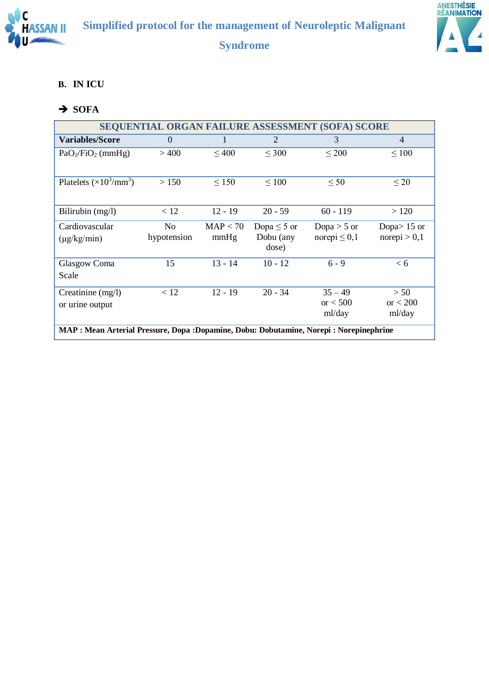



#### **B. IN ICU**

# $\rightarrow$  SOFA

| <b>SEQUENTIAL ORGAN FAILURE ASSESSMENT (SOFA) SCORE</b>                                  |                |            |                    |                   |                |
|------------------------------------------------------------------------------------------|----------------|------------|--------------------|-------------------|----------------|
| <b>Variables/Score</b>                                                                   | $\Omega$       |            | $\overline{2}$     | 3                 | $\overline{4}$ |
| $PaO2/FiO2$ (mmHg)                                                                       | >400           | $\leq 400$ | $\leq 300$         | $\leq 200$        | $\leq 100$     |
|                                                                                          |                |            |                    |                   |                |
| Platelets $(\times 10^3/\text{mm}^3)$                                                    | > 150          | $\leq 150$ | $\leq 100$         | $\leq 50$         | $\leq 20$      |
|                                                                                          |                |            |                    |                   |                |
| Bilirubin $(mg/l)$                                                                       | < 12           | $12 - 19$  | $20 - 59$          | $60 - 119$        | >120           |
| Cardiovascular                                                                           | N <sub>0</sub> | MAP < 70   | Dopa $\leq$ 5 or   | Dopa $>$ 5 or     | Dopa $> 15$ or |
| $(\mu g/kg/min)$                                                                         | hypotension    | mmHg       | Dobu (any<br>dose) | norepi $\leq 0,1$ | norepi > 0,1   |
| Glasgow Coma                                                                             | 15             | 13 - 14    | $10 - 12$          | $6 - 9$           | < 6            |
| Scale                                                                                    |                |            |                    |                   |                |
| Creatinine $(mg/l)$                                                                      | < 12           | $12 - 19$  | $20 - 34$          | $35 - 49$         | > 50           |
| or urine output                                                                          |                |            |                    | or $< 500$        | or $< 200$     |
|                                                                                          |                |            |                    | ml/day            | ml/day         |
| MAP : Mean Arterial Pressure, Dopa : Dopamine, Dobu: Dobutamine, Norepi : Norepinephrine |                |            |                    |                   |                |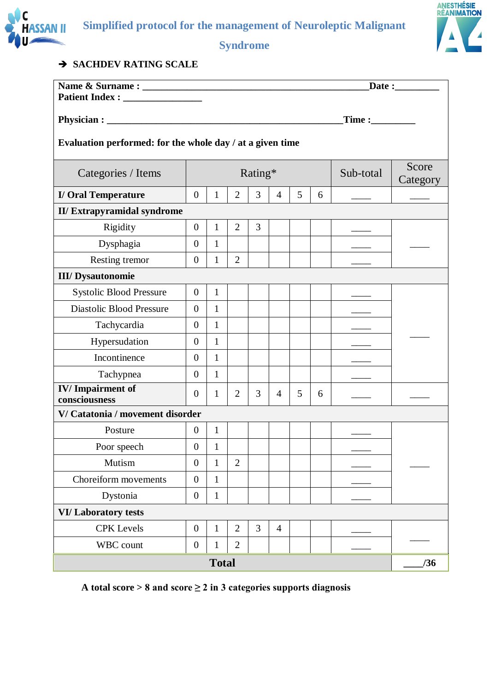



#### $\rightarrow$  **SACHDEV RATING SCALE**

|                                                           |                  |              |                |         |                |   |   |           | $\text{Date}:$    |
|-----------------------------------------------------------|------------------|--------------|----------------|---------|----------------|---|---|-----------|-------------------|
|                                                           |                  |              |                |         |                |   |   |           |                   |
| Time:                                                     |                  |              |                |         |                |   |   |           |                   |
| Evaluation performed: for the whole day / at a given time |                  |              |                |         |                |   |   |           |                   |
| Categories / Items                                        |                  |              |                | Rating* |                |   |   | Sub-total | Score<br>Category |
| <b>I/ Oral Temperature</b>                                | $\overline{0}$   | $\mathbf{1}$ | 2              | 3       | 4              | 5 | 6 |           |                   |
| <b>II/Extrapyramidal syndrome</b>                         |                  |              |                |         |                |   |   |           |                   |
| Rigidity                                                  | $\overline{0}$   | $\mathbf{1}$ | $\overline{2}$ | 3       |                |   |   |           |                   |
| Dysphagia                                                 | $\overline{0}$   | $\mathbf{1}$ |                |         |                |   |   |           |                   |
| Resting tremor                                            | $\overline{0}$   | $\mathbf{1}$ | $\overline{2}$ |         |                |   |   |           |                   |
| <b>III/ Dysautonomie</b>                                  |                  |              |                |         |                |   |   |           |                   |
| <b>Systolic Blood Pressure</b>                            | $\overline{0}$   | $\mathbf{1}$ |                |         |                |   |   |           |                   |
| <b>Diastolic Blood Pressure</b>                           | $\overline{0}$   | $\mathbf{1}$ |                |         |                |   |   |           |                   |
| Tachycardia                                               | $\overline{0}$   | $\mathbf{1}$ |                |         |                |   |   |           |                   |
| Hypersudation                                             | $\overline{0}$   | $\mathbf{1}$ |                |         |                |   |   |           |                   |
| Incontinence                                              | $\overline{0}$   | $\mathbf{1}$ |                |         |                |   |   |           |                   |
| Tachypnea                                                 | $\overline{0}$   | $\mathbf{1}$ |                |         |                |   |   |           |                   |
| <b>IV/Impairment of</b><br>consciousness                  | $\overline{0}$   | $\mathbf{1}$ | $\overline{2}$ | 3       | $\overline{4}$ | 5 | 6 |           |                   |
| V/Catatonia / movement disorder                           |                  |              |                |         |                |   |   |           |                   |
| Posture                                                   | $\overline{0}$   | $\mathbf{1}$ |                |         |                |   |   |           |                   |
| Poor speech                                               | $\overline{0}$   | $\mathbf{1}$ |                |         |                |   |   |           |                   |
| Mutism                                                    | $\boldsymbol{0}$ | $\mathbf{1}$ | $\overline{2}$ |         |                |   |   |           |                   |
| Choreiform movements                                      | $\overline{0}$   | $\mathbf{1}$ |                |         |                |   |   |           |                   |
| Dystonia                                                  | $\boldsymbol{0}$ | $\mathbf{1}$ |                |         |                |   |   |           |                   |
| <b>VI/Laboratory tests</b>                                |                  |              |                |         |                |   |   |           |                   |
| <b>CPK</b> Levels                                         | $\boldsymbol{0}$ | $\mathbf{1}$ | $\overline{2}$ | 3       | $\overline{4}$ |   |   |           |                   |
| WBC count                                                 | $\boldsymbol{0}$ | $\mathbf{1}$ | $\overline{2}$ |         |                |   |   |           |                   |
|                                                           |                  | <b>Total</b> |                |         |                |   |   |           | /36               |

**A total score > 8 and score ≥ 2 in 3 categories supports diagnosis**

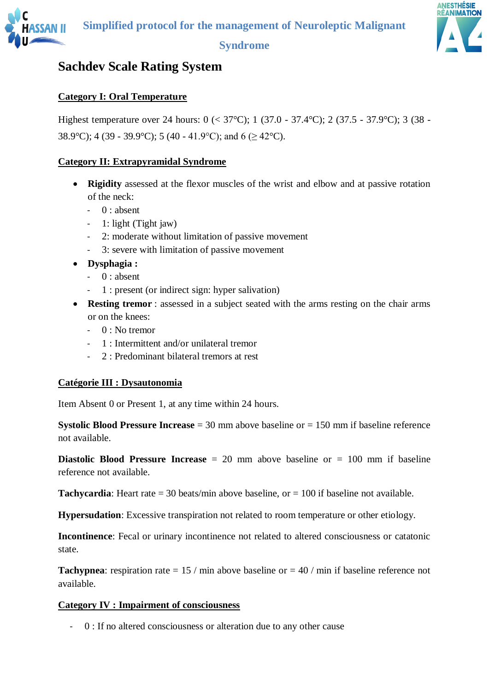

# **Sachdev Scale Rating System**

#### **Category I: Oral Temperature**

Highest temperature over 24 hours: 0 (< 37°C); 1 (37.0 - 37.4°C); 2 (37.5 - 37.9°C); 3 (38 - 38.9°C); 4 (39 - 39.9°C); 5 (40 - 41.9°C); and 6 ( $\geq$  42°C).

#### **Category II: Extrapyramidal Syndrome**

- **Rigidity** assessed at the flexor muscles of the wrist and elbow and at passive rotation of the neck:
	- $-$  0 : absent
	- 1: light (Tight jaw)
	- 2: moderate without limitation of passive movement
	- 3: severe with limitation of passive movement
- **Dysphagia :**
	- $-$  0 : absent
	- 1 : present (or indirect sign: hyper salivation)
- **Resting tremor** : assessed in a subject seated with the arms resting on the chair arms or on the knees:
	- $-$  0 : No tremor
	- 1 : Intermittent and/or unilateral tremor
	- 2 : Predominant bilateral tremors at rest

#### **Catégorie III : Dysautonomia**

Item Absent 0 or Present 1, at any time within 24 hours.

**Systolic Blood Pressure Increase** = 30 mm above baseline or = 150 mm if baseline reference not available.

**Diastolic Blood Pressure Increase** = 20 mm above baseline or = 100 mm if baseline reference not available.

**Tachycardia**: Heart rate  $= 30$  beats/min above baseline, or  $= 100$  if baseline not available.

**Hypersudation**: Excessive transpiration not related to room temperature or other etiology.

**Incontinence**: Fecal or urinary incontinence not related to altered consciousness or catatonic state.

**Tachypnea**: respiration rate =  $15 / \text{min}$  above baseline or =  $40 / \text{min}$  if baseline reference not available.

#### **Category IV : Impairment of consciousness**

- 0 : If no altered consciousness or alteration due to any other cause

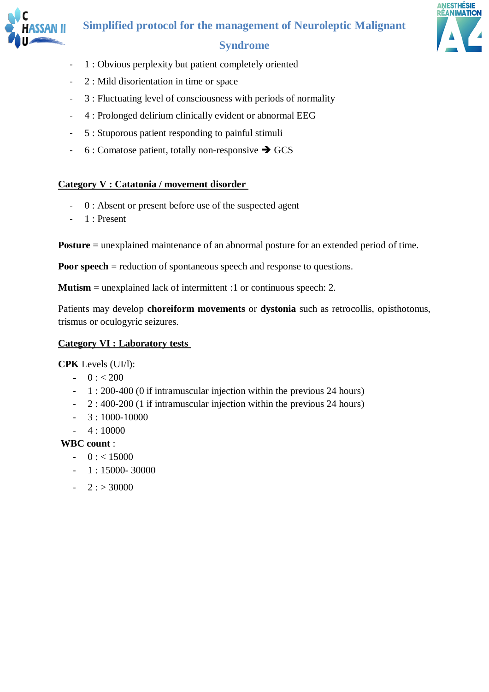



- 1 : Obvious perplexity but patient completely oriented
- 2 : Mild disorientation in time or space
- 3 : Fluctuating level of consciousness with periods of normality
- 4 : Prolonged delirium clinically evident or abnormal EEG
- 5 : Stuporous patient responding to painful stimuli
- $-6$ : Comatose patient, totally non-responsive  $\rightarrow$  GCS

#### **Category V : Catatonia / movement disorder**

- 0 : Absent or present before use of the suspected agent
- 1 : Present

**Posture** = unexplained maintenance of an abnormal posture for an extended period of time.

**Poor speech** = reduction of spontaneous speech and response to questions.

**Mutism** = unexplained lack of intermittent :1 or continuous speech: 2.

Patients may develop **choreiform movements** or **dystonia** such as retrocollis, opisthotonus, trismus or oculogyric seizures.

#### **Category VI : Laboratory tests**

**CPK** Levels (UI/l):

- $0 : < 200$
- 1 : 200-400 (0 if intramuscular injection within the previous 24 hours)
- 2 : 400-200 (1 if intramuscular injection within the previous 24 hours)
- $-3:1000-10000$
- $-4:10000$

#### **WBC count** :

- $0 : < 15000$
- 1 : 15000- 30000
- $-2$  :  $> 30000$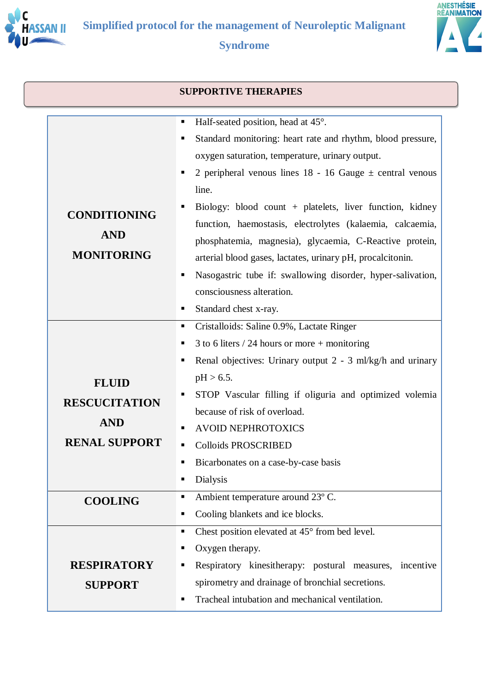



|                                                                            | <b>SUPPORTIVE THERAPIES</b>                                                                                                                                                                                                                                                                                                                                                                                                                                                                                                                                                                                                                                        |
|----------------------------------------------------------------------------|--------------------------------------------------------------------------------------------------------------------------------------------------------------------------------------------------------------------------------------------------------------------------------------------------------------------------------------------------------------------------------------------------------------------------------------------------------------------------------------------------------------------------------------------------------------------------------------------------------------------------------------------------------------------|
| <b>CONDITIONING</b><br><b>AND</b><br><b>MONITORING</b>                     | Half-seated position, head at 45°.<br>٠<br>Standard monitoring: heart rate and rhythm, blood pressure,<br>ш<br>oxygen saturation, temperature, urinary output.<br>2 peripheral venous lines $18 - 16$ Gauge $\pm$ central venous<br>line.<br>Biology: blood count + platelets, liver function, kidney<br>function, haemostasis, electrolytes (kalaemia, calcaemia,<br>phosphatemia, magnesia), glycaemia, C-Reactive protein,<br>arterial blood gases, lactates, urinary pH, procalcitonin.<br>Nasogastric tube if: swallowing disorder, hyper-salivation,<br>consciousness alteration.<br>Standard chest x-ray.<br>Cristalloids: Saline 0.9%, Lactate Ringer<br>ш |
| <b>FLUID</b><br><b>RESCUCITATION</b><br><b>AND</b><br><b>RENAL SUPPORT</b> | 3 to 6 liters $/$ 24 hours or more + monitoring<br>ш<br>Renal objectives: Urinary output 2 - 3 ml/kg/h and urinary<br>ш<br>$pH > 6.5$ .<br>STOP Vascular filling if oliguria and optimized volemia<br>because of risk of overload.<br><b>AVOID NEPHROTOXICS</b><br><b>Colloids PROSCRIBED</b><br>Bicarbonates on a case-by-case basis<br><b>Dialysis</b><br>ш                                                                                                                                                                                                                                                                                                      |
| <b>COOLING</b><br><b>RESPIRATORY</b><br><b>SUPPORT</b>                     | Ambient temperature around 23° C.<br>٠<br>Cooling blankets and ice blocks.<br>Chest position elevated at 45° from bed level.<br>ш<br>Oxygen therapy.<br>Respiratory kinesitherapy: postural measures,<br>incentive<br>spirometry and drainage of bronchial secretions.<br>Tracheal intubation and mechanical ventilation.                                                                                                                                                                                                                                                                                                                                          |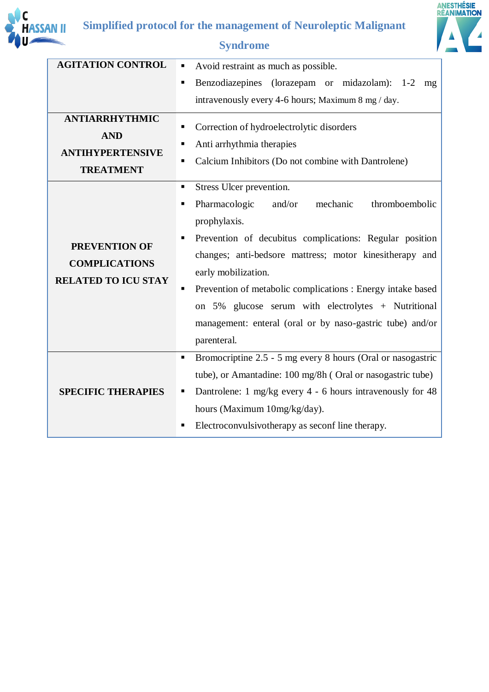



# **ANESTHÉSIE<br>RÉANI<u>MATION</u>** Á

| <b>AGITATION CONTROL</b>                                                           | Avoid restraint as much as possible.<br>п                                                                                                                                                                                                                                                                                                                                                                                 |
|------------------------------------------------------------------------------------|---------------------------------------------------------------------------------------------------------------------------------------------------------------------------------------------------------------------------------------------------------------------------------------------------------------------------------------------------------------------------------------------------------------------------|
|                                                                                    | Benzodiazepines (lorazepam or midazolam): 1-2<br>٠<br>mg                                                                                                                                                                                                                                                                                                                                                                  |
|                                                                                    | intravenously every 4-6 hours; Maximum 8 mg / day.                                                                                                                                                                                                                                                                                                                                                                        |
| <b>ANTIARRHYTHMIC</b><br><b>AND</b><br><b>ANTIHYPERTENSIVE</b><br><b>TREATMENT</b> | Correction of hydroelectrolytic disorders<br>Anti arrhythmia therapies<br>п<br>Calcium Inhibitors (Do not combine with Dantrolene)<br>Stress Ulcer prevention.<br>$\blacksquare$                                                                                                                                                                                                                                          |
| <b>PREVENTION OF</b><br><b>COMPLICATIONS</b><br><b>RELATED TO ICU STAY</b>         | Pharmacologic<br>thromboembolic<br>and/or<br>mechanic<br>٠<br>prophylaxis.<br>Prevention of decubitus complications: Regular position<br>changes; anti-bedsore mattress; motor kinesitherapy and<br>early mobilization.<br>Prevention of metabolic complications : Energy intake based<br>on 5% glucose serum with electrolytes + Nutritional<br>management: enteral (oral or by naso-gastric tube) and/or<br>parenteral. |
| <b>SPECIFIC THERAPIES</b>                                                          | Bromocriptine 2.5 - 5 mg every 8 hours (Oral or nasogastric<br>٠<br>tube), or Amantadine: 100 mg/8h (Oral or nasogastric tube)<br>Dantrolene: 1 mg/kg every 4 - 6 hours intravenously for 48<br>hours (Maximum 10mg/kg/day).<br>Electroconvulsivotherapy as seconf line therapy.                                                                                                                                          |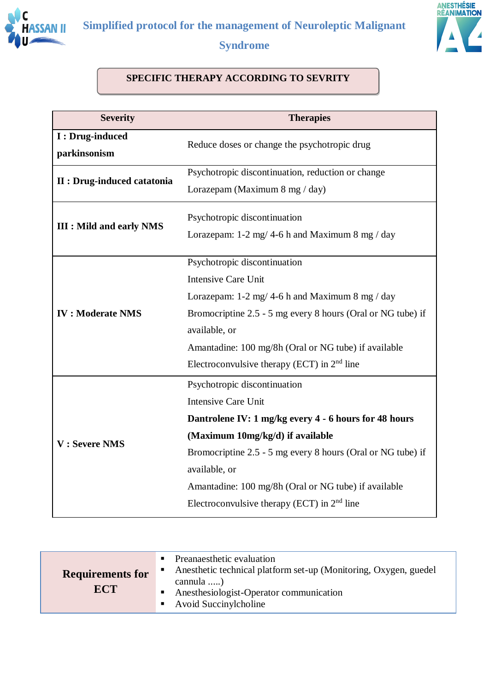



#### **SPECIFIC THERAPY ACCORDING TO SEVRITY**

| <b>Severity</b>                    | <b>Therapies</b>                                                                                                                                                                                                                                                                                                                                 |  |  |
|------------------------------------|--------------------------------------------------------------------------------------------------------------------------------------------------------------------------------------------------------------------------------------------------------------------------------------------------------------------------------------------------|--|--|
| I : Drug-induced<br>parkinsonism   | Reduce doses or change the psychotropic drug                                                                                                                                                                                                                                                                                                     |  |  |
| <b>II</b> : Drug-induced catatonia | Psychotropic discontinuation, reduction or change<br>Lorazepam (Maximum 8 mg / day)                                                                                                                                                                                                                                                              |  |  |
| <b>III</b> : Mild and early NMS    | Psychotropic discontinuation<br>Lorazepam: $1-2$ mg/ 4-6 h and Maximum 8 mg / day                                                                                                                                                                                                                                                                |  |  |
| <b>IV: Moderate NMS</b>            | Psychotropic discontinuation<br><b>Intensive Care Unit</b><br>Lorazepam: $1-2$ mg/ 4-6 h and Maximum 8 mg/day<br>Bromocriptine 2.5 - 5 mg every 8 hours (Oral or NG tube) if<br>available, or<br>Amantadine: 100 mg/8h (Oral or NG tube) if available<br>Electroconvulsive therapy (ECT) in $2nd$ line                                           |  |  |
| V: Severe NMS                      | Psychotropic discontinuation<br><b>Intensive Care Unit</b><br>Dantrolene IV: 1 mg/kg every 4 - 6 hours for 48 hours<br>(Maximum 10mg/kg/d) if available<br>Bromocriptine 2.5 - 5 mg every 8 hours (Oral or NG tube) if<br>available, or<br>Amantadine: 100 mg/8h (Oral or NG tube) if available<br>Electroconvulsive therapy (ECT) in $2nd$ line |  |  |

| <b>Requirements for</b> | п | • Preanaesthetic evaluation<br>Anesthetic technical platform set-up (Monitoring, Oxygen, guedel |
|-------------------------|---|-------------------------------------------------------------------------------------------------|
| <b>ECT</b>              |   | cannula )<br>Anesthesiologist-Operator communication<br>• Avoid Succinylcholine                 |